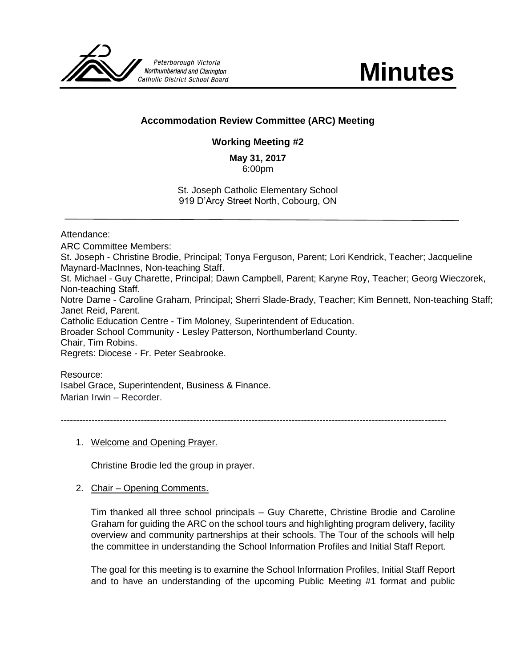

**Minutes**

# **Accommodation Review Committee (ARC) Meeting**

# **Working Meeting #2**

**May 31, 2017** 6:00pm

St. Joseph Catholic Elementary School 919 D'Arcy Street North, Cobourg, ON

Attendance:

ARC Committee Members: St. Joseph - Christine Brodie, Principal; Tonya Ferguson, Parent; Lori Kendrick, Teacher; Jacqueline Maynard-MacInnes, Non-teaching Staff. St. Michael - Guy Charette, Principal; Dawn Campbell, Parent; Karyne Roy, Teacher; Georg Wieczorek, Non-teaching Staff. Notre Dame - Caroline Graham, Principal; Sherri Slade-Brady, Teacher; Kim Bennett, Non-teaching Staff; Janet Reid, Parent. Catholic Education Centre - Tim Moloney, Superintendent of Education. Broader School Community - Lesley Patterson, Northumberland County. Chair, Tim Robins. Regrets: Diocese - Fr. Peter Seabrooke.

Resource: Isabel Grace, Superintendent, Business & Finance. Marian Irwin – Recorder.

-----------------------------------------------------------------------------------------------------------------------------

1. Welcome and Opening Prayer.

Christine Brodie led the group in prayer.

2. Chair – Opening Comments.

Tim thanked all three school principals – Guy Charette, Christine Brodie and Caroline Graham for guiding the ARC on the school tours and highlighting program delivery, facility overview and community partnerships at their schools. The Tour of the schools will help the committee in understanding the School Information Profiles and Initial Staff Report.

The goal for this meeting is to examine the School Information Profiles, Initial Staff Report and to have an understanding of the upcoming Public Meeting #1 format and public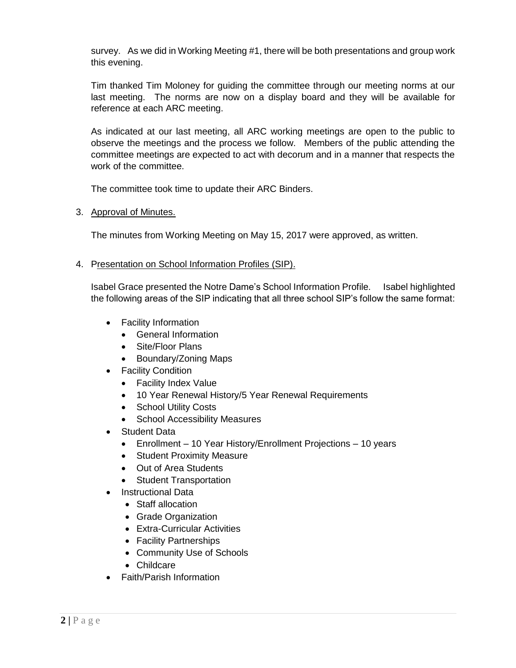survey. As we did in Working Meeting #1, there will be both presentations and group work this evening.

Tim thanked Tim Moloney for guiding the committee through our meeting norms at our last meeting. The norms are now on a display board and they will be available for reference at each ARC meeting.

As indicated at our last meeting, all ARC working meetings are open to the public to observe the meetings and the process we follow. Members of the public attending the committee meetings are expected to act with decorum and in a manner that respects the work of the committee.

The committee took time to update their ARC Binders.

### 3. Approval of Minutes.

The minutes from Working Meeting on May 15, 2017 were approved, as written.

### 4. Presentation on School Information Profiles (SIP).

Isabel Grace presented the Notre Dame's School Information Profile. Isabel highlighted the following areas of the SIP indicating that all three school SIP's follow the same format:

- Facility Information
	- General Information
	- Site/Floor Plans
	- Boundary/Zoning Maps
- Facility Condition
	- Facility Index Value
	- 10 Year Renewal History/5 Year Renewal Requirements
	- School Utility Costs
	- School Accessibility Measures
- Student Data
	- Enrollment 10 Year History/Enrollment Projections 10 years
	- Student Proximity Measure
	- Out of Area Students
	- Student Transportation
- Instructional Data
	- Staff allocation
	- Grade Organization
	- Extra-Curricular Activities
	- Facility Partnerships
	- Community Use of Schools
	- Childcare
- Faith/Parish Information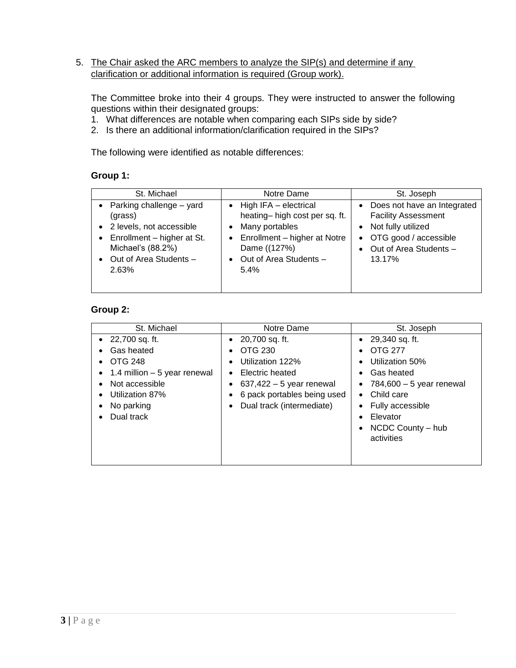## 5. The Chair asked the ARC members to analyze the SIP(s) and determine if any clarification or additional information is required (Group work).

The Committee broke into their 4 groups. They were instructed to answer the following questions within their designated groups:

- 1. What differences are notable when comparing each SIPs side by side?
- 2. Is there an additional information/clarification required in the SIPs?

The following were identified as notable differences:

#### **Group 1:**

| St. Michael                                                                                                                                                           | Notre Dame                                                                                                                                                                           | St. Joseph                                                                                                                                                      |
|-----------------------------------------------------------------------------------------------------------------------------------------------------------------------|--------------------------------------------------------------------------------------------------------------------------------------------------------------------------------------|-----------------------------------------------------------------------------------------------------------------------------------------------------------------|
| • Parking challenge $-$ yard<br>(grass)<br>2 levels, not accessible<br>$\bullet$ Enrollment – higher at St.<br>Michael's (88.2%)<br>• Out of Area Students -<br>2.63% | High IFA - electrical<br>$\bullet$<br>heating-high cost per sq. ft.<br>Many portables<br>Enrollment - higher at Notre<br>$\bullet$<br>Dame ((127%)<br>Out of Area Students -<br>5.4% | Does not have an Integrated<br>$\bullet$<br><b>Facility Assessment</b><br>• Not fully utilized<br>• OTG good / accessible<br>• Out of Area Students -<br>13.17% |

# **Group 2:**

| St. Michael                                                                                                                                        | Notre Dame                                                                                                                                                                                                                  | St. Joseph                                                                                                                                                                                                                                                                               |
|----------------------------------------------------------------------------------------------------------------------------------------------------|-----------------------------------------------------------------------------------------------------------------------------------------------------------------------------------------------------------------------------|------------------------------------------------------------------------------------------------------------------------------------------------------------------------------------------------------------------------------------------------------------------------------------------|
| $\bullet$ 22,700 sq. ft.<br>Gas heated<br>OTG 248<br>1.4 million - 5 year renewal<br>Not accessible<br>Utilization 87%<br>No parking<br>Dual track | 20,700 sq. ft.<br>$\bullet$<br>OTG 230<br>$\bullet$<br>Utilization 122%<br>$\bullet$<br>Electric heated<br>$\bullet$<br>$637,422 - 5$ year renewal<br>6 pack portables being used<br>Dual track (intermediate)<br>$\bullet$ | $\bullet$ 29,340 sq. ft.<br><b>OTG 277</b><br>$\bullet$<br>Utilization 50%<br>$\bullet$<br>Gas heated<br>٠<br>784,600 - 5 year renewal<br>$\bullet$<br>Child care<br>$\bullet$<br>Fully accessible<br>$\bullet$<br>Elevator<br>$\bullet$<br>NCDC County - hub<br>$\bullet$<br>activities |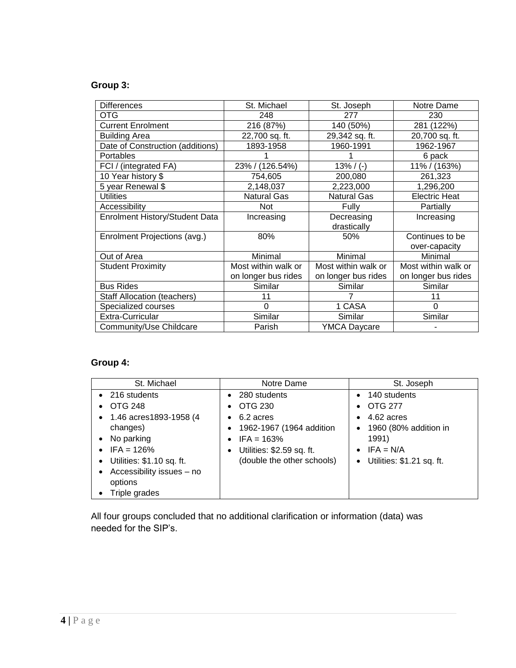# **Group 3:**

| <b>Differences</b>                 | St. Michael         | St. Joseph          | Notre Dame           |
|------------------------------------|---------------------|---------------------|----------------------|
| OTG                                | 248                 | 277                 | 230                  |
| <b>Current Enrolment</b>           | 216 (87%)           | 140 (50%)           | 281 (122%)           |
| <b>Building Area</b>               | 22,700 sq. ft.      | 29,342 sq. ft.      | 20,700 sq. ft.       |
| Date of Construction (additions)   | 1893-1958           | 1960-1991           | 1962-1967            |
| <b>Portables</b>                   |                     |                     | 6 pack               |
| FCI / (integrated FA)              | 23% / (126.54%)     | $13\%$ / (-)        | 11% / (163%)         |
| 10 Year history \$                 | 754,605             | 200,080             | 261,323              |
| 5 year Renewal \$                  | 2,148,037           | 2,223,000           | 1,296,200            |
| <b>Utilities</b>                   | <b>Natural Gas</b>  | <b>Natural Gas</b>  | <b>Electric Heat</b> |
| Accessibility                      | <b>Not</b>          | Fully               | Partially            |
| Enrolment History/Student Data     | Increasing          | Decreasing          | Increasing           |
|                                    |                     | drastically         |                      |
| Enrolment Projections (avg.)       | 80%                 | 50%                 | Continues to be      |
|                                    |                     |                     | over-capacity        |
| Out of Area                        | Minimal             | Minimal             | Minimal              |
| <b>Student Proximity</b>           | Most within walk or | Most within walk or | Most within walk or  |
|                                    | on longer bus rides | on longer bus rides | on longer bus rides  |
| <b>Bus Rides</b>                   | Similar             | Similar             | Similar              |
| <b>Staff Allocation (teachers)</b> | 11                  |                     | 11                   |
| Specialized courses                | $\Omega$            | 1 CASA              | $\Omega$             |
| Extra-Curricular                   | Similar             | Similar             | Similar              |
| Community/Use Childcare            | Parish              | <b>YMCA Daycare</b> |                      |

# **Group 4:**

| St. Michael                                                                                                                                                                                                                                                 | Notre Dame                                                                                                                                                                              | St. Joseph                                                                                                                                                                                               |
|-------------------------------------------------------------------------------------------------------------------------------------------------------------------------------------------------------------------------------------------------------------|-----------------------------------------------------------------------------------------------------------------------------------------------------------------------------------------|----------------------------------------------------------------------------------------------------------------------------------------------------------------------------------------------------------|
| 216 students<br>$\bullet$<br><b>OTG 248</b><br>1.46 acres1893-1958 (4<br>$\bullet$<br>changes)<br>No parking<br>$\bullet$<br>$IFA = 126%$<br>$\bullet$<br>• Utilities: \$1.10 sq. ft.<br>Accessibility issues - no<br>$\bullet$<br>options<br>Triple grades | 280 students<br>OTG 230<br>$\bullet$<br>6.2 acres<br>$\bullet$<br>1962-1967 (1964 addition<br>$\bullet$<br>$IFA = 163%$<br>Utilities: \$2.59 sq. ft.<br>٠<br>(double the other schools) | 140 students<br>$\bullet$<br><b>OTG 277</b><br>$\bullet$<br>4.62 acres<br>$\bullet$<br>1960 (80% addition in<br>$\bullet$<br>1991)<br>$IFA = N/A$<br>$\bullet$<br>Utilities: \$1.21 sq. ft.<br>$\bullet$ |

All four groups concluded that no additional clarification or information (data) was needed for the SIP's.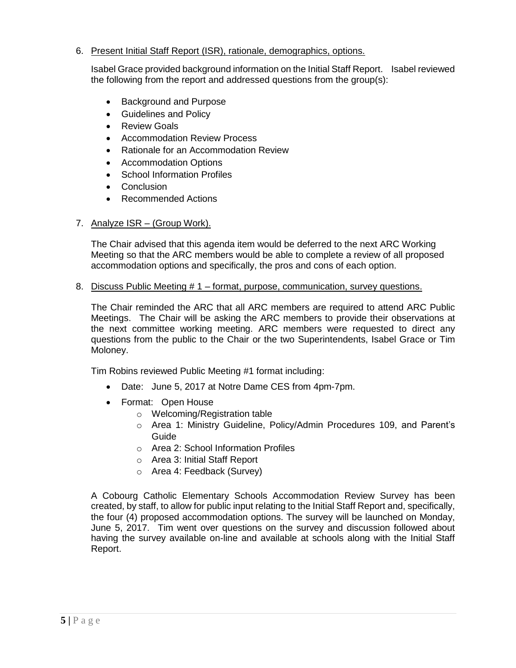### 6. Present Initial Staff Report (ISR), rationale, demographics, options.

Isabel Grace provided background information on the Initial Staff Report. Isabel reviewed the following from the report and addressed questions from the group(s):

- Background and Purpose
- Guidelines and Policy
- Review Goals
- Accommodation Review Process
- Rationale for an Accommodation Review
- Accommodation Options
- School Information Profiles
- Conclusion
- Recommended Actions

## 7. Analyze ISR – (Group Work).

The Chair advised that this agenda item would be deferred to the next ARC Working Meeting so that the ARC members would be able to complete a review of all proposed accommodation options and specifically, the pros and cons of each option.

8. Discuss Public Meeting # 1 – format, purpose, communication, survey questions.

The Chair reminded the ARC that all ARC members are required to attend ARC Public Meetings. The Chair will be asking the ARC members to provide their observations at the next committee working meeting. ARC members were requested to direct any questions from the public to the Chair or the two Superintendents, Isabel Grace or Tim Moloney.

Tim Robins reviewed Public Meeting #1 format including:

- Date: June 5, 2017 at Notre Dame CES from 4pm-7pm.
- Format: Open House
	- o Welcoming/Registration table
	- o Area 1: Ministry Guideline, Policy/Admin Procedures 109, and Parent's Guide
	- o Area 2: School Information Profiles
	- o Area 3: Initial Staff Report
	- o Area 4: Feedback (Survey)

A Cobourg Catholic Elementary Schools Accommodation Review Survey has been created, by staff, to allow for public input relating to the Initial Staff Report and, specifically, the four (4) proposed accommodation options. The survey will be launched on Monday, June 5, 2017. Tim went over questions on the survey and discussion followed about having the survey available on-line and available at schools along with the Initial Staff Report.